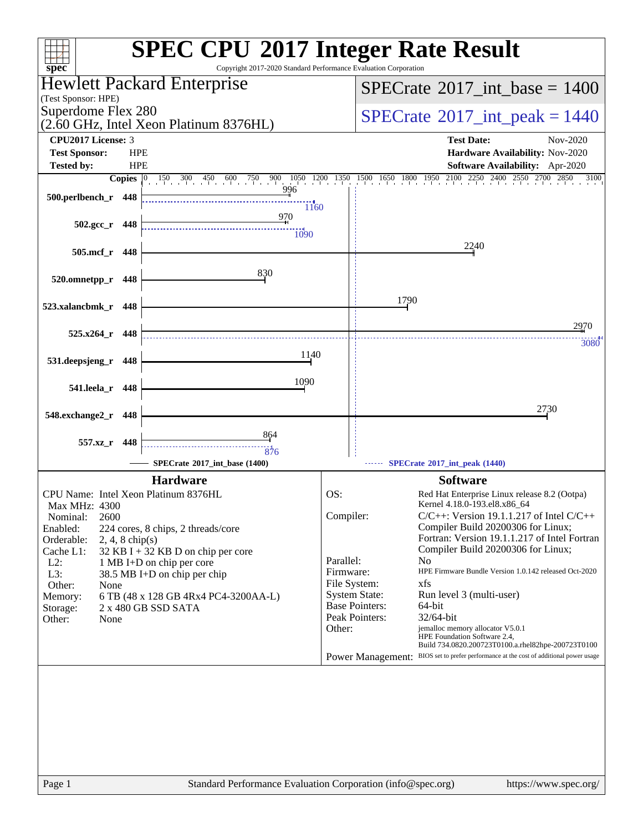| spec <sup>®</sup>                                                                                 | <b>SPEC CPU®2017 Integer Rate Result</b><br>Copyright 2017-2020 Standard Performance Evaluation Corporation                                            |
|---------------------------------------------------------------------------------------------------|--------------------------------------------------------------------------------------------------------------------------------------------------------|
| Hewlett Packard Enterprise                                                                        | $SPECrate^{\circ}2017\_int\_base = 1400$                                                                                                               |
| (Test Sponsor: HPE)                                                                               |                                                                                                                                                        |
| Superdome Flex 280<br>(2.60 GHz, Intel Xeon Platinum 8376HL)                                      | $SPECrate^{\circ}2017\_int\_peak = 1440$                                                                                                               |
| <b>CPU2017 License: 3</b>                                                                         | <b>Test Date:</b><br>Nov-2020                                                                                                                          |
| <b>HPE</b><br><b>Test Sponsor:</b>                                                                | Hardware Availability: Nov-2020                                                                                                                        |
| <b>Tested by:</b><br><b>HPE</b><br>$150$ 300 450 600 750 900 1050 1200 1350<br>Copies $ 0\rangle$ | <b>Software Availability:</b> Apr-2020<br>1500 1650 1800 1950 2100 2250 2400 2550 2700 2850<br>3100                                                    |
| 996<br>500.perlbench_r 448                                                                        |                                                                                                                                                        |
| $\frac{11}{1160}$<br>970                                                                          |                                                                                                                                                        |
| $502.\text{gcc}_r$ 448<br><sup>1090</sup>                                                         |                                                                                                                                                        |
| 505.mcf_r<br>448                                                                                  | 2240                                                                                                                                                   |
|                                                                                                   |                                                                                                                                                        |
| 830<br>520.omnetpp_r<br>448                                                                       |                                                                                                                                                        |
| 523.xalancbmk_r<br>448                                                                            | 1790                                                                                                                                                   |
|                                                                                                   | 2970                                                                                                                                                   |
| $525.x264$ r 448                                                                                  | 3080                                                                                                                                                   |
| 1140<br>531.deepsjeng_r<br>448                                                                    |                                                                                                                                                        |
| 1090                                                                                              |                                                                                                                                                        |
| 541.leela_r<br>448                                                                                |                                                                                                                                                        |
| 548.exchange2_r<br>448                                                                            | 2730                                                                                                                                                   |
| 864                                                                                               |                                                                                                                                                        |
| 557.xz_r 448<br>876                                                                               |                                                                                                                                                        |
| SPECrate®2017 int base (1400)                                                                     | SPECrate®2017_int_peak (1440)                                                                                                                          |
| <b>Hardware</b>                                                                                   | <b>Software</b>                                                                                                                                        |
| CPU Name: Intel Xeon Platinum 8376HL<br>Max MHz: 4300                                             | OS:<br>Red Hat Enterprise Linux release 8.2 (Ootpa)<br>Kernel 4.18.0-193.el8.x86_64                                                                    |
| 2600<br>Nominal:                                                                                  | Compiler:<br>$C/C++$ : Version 19.1.1.217 of Intel $C/C++$                                                                                             |
| Enabled:<br>224 cores, 8 chips, 2 threads/core<br>Orderable:<br>$2, 4, 8$ chip(s)                 | Compiler Build 20200306 for Linux;<br>Fortran: Version 19.1.1.217 of Intel Fortran                                                                     |
| Cache L1:<br>32 KB I + 32 KB D on chip per core                                                   | Compiler Build 20200306 for Linux;<br>Parallel:<br>N <sub>0</sub>                                                                                      |
| $L2$ :<br>1 MB I+D on chip per core<br>L3:<br>38.5 MB I+D on chip per chip                        | Firmware:<br>HPE Firmware Bundle Version 1.0.142 released Oct-2020                                                                                     |
| Other:<br>None                                                                                    | File System:<br>xfs                                                                                                                                    |
| 6 TB (48 x 128 GB 4Rx4 PC4-3200AA-L)<br>Memory:<br>2 x 480 GB SSD SATA<br>Storage:                | <b>System State:</b><br>Run level 3 (multi-user)<br><b>Base Pointers:</b><br>64-bit                                                                    |
| Other:<br>None                                                                                    | Peak Pointers:<br>32/64-bit                                                                                                                            |
|                                                                                                   | jemalloc memory allocator V5.0.1<br>Other:<br>HPE Foundation Software 2.4,                                                                             |
|                                                                                                   | Build 734.0820.200723T0100.a.rhel82hpe-200723T0100<br>BIOS set to prefer performance at the cost of additional power usage<br><b>Power Management:</b> |
|                                                                                                   |                                                                                                                                                        |
|                                                                                                   |                                                                                                                                                        |
|                                                                                                   |                                                                                                                                                        |
|                                                                                                   |                                                                                                                                                        |
|                                                                                                   |                                                                                                                                                        |
|                                                                                                   |                                                                                                                                                        |
| Page 1                                                                                            | Standard Performance Evaluation Corporation (info@spec.org)<br>https://www.spec.org/                                                                   |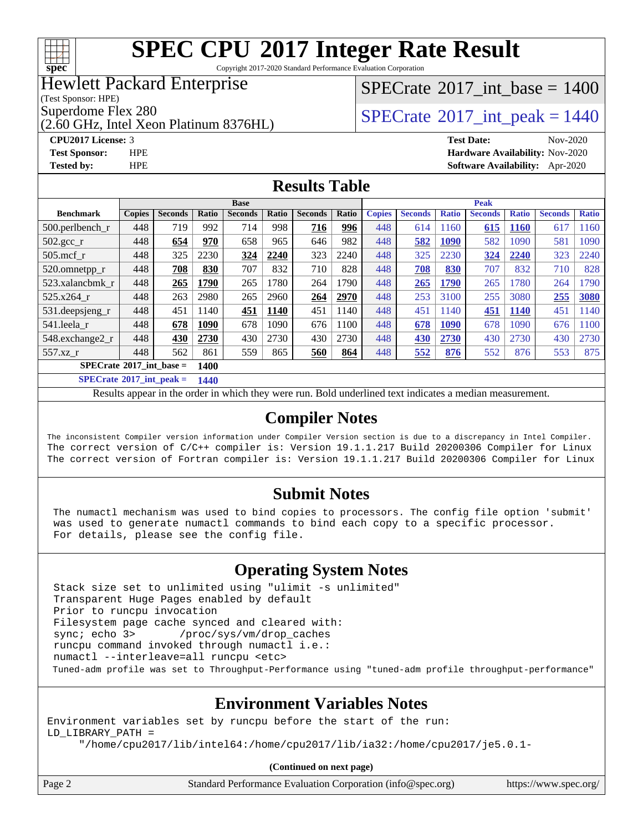

Copyright 2017-2020 Standard Performance Evaluation Corporation

### Hewlett Packard Enterprise

(Test Sponsor: HPE)

(2.60 GHz, Intel Xeon Platinum 8376HL)

### [SPECrate](http://www.spec.org/auto/cpu2017/Docs/result-fields.html#SPECrate2017intbase)®2017 int\_base =  $1400$

Superdome Flex 280<br>  $SPECTA = 1440$ <br>  $SPECTA = 1440$ 

**[CPU2017 License:](http://www.spec.org/auto/cpu2017/Docs/result-fields.html#CPU2017License)** 3 **[Test Date:](http://www.spec.org/auto/cpu2017/Docs/result-fields.html#TestDate)** Nov-2020 **[Test Sponsor:](http://www.spec.org/auto/cpu2017/Docs/result-fields.html#TestSponsor)** HPE **[Hardware Availability:](http://www.spec.org/auto/cpu2017/Docs/result-fields.html#HardwareAvailability)** Nov-2020 **[Tested by:](http://www.spec.org/auto/cpu2017/Docs/result-fields.html#Testedby)** HPE **[Software Availability:](http://www.spec.org/auto/cpu2017/Docs/result-fields.html#SoftwareAvailability)** Apr-2020

#### **[Results Table](http://www.spec.org/auto/cpu2017/Docs/result-fields.html#ResultsTable)**

|                                   |               |                |               | <b>Base</b>    |       |                |       | <b>Peak</b>   |                |              |                |              |                |              |  |  |
|-----------------------------------|---------------|----------------|---------------|----------------|-------|----------------|-------|---------------|----------------|--------------|----------------|--------------|----------------|--------------|--|--|
| <b>Benchmark</b>                  | <b>Copies</b> | <b>Seconds</b> | Ratio         | <b>Seconds</b> | Ratio | <b>Seconds</b> | Ratio | <b>Copies</b> | <b>Seconds</b> | <b>Ratio</b> | <b>Seconds</b> | <b>Ratio</b> | <b>Seconds</b> | <b>Ratio</b> |  |  |
| $500.$ perlbench_r                | 448           | 719            | 992           | 714            | 998   | 716            | 996   | 448           | 614            | 1160         | 615            | 1160         | 617            | 1160         |  |  |
| 502.gcc_r                         | 448           | 654            | 970           | 658            | 965   | 646            | 982   | 448           | 582            | <b>1090</b>  | 582            | 1090         | 581            | 1090         |  |  |
| $505$ .mcf r                      | 448           | 325            | 2230          | 324            | 2240  | 323            | 2240  | 448           | 325            | 2230         | 324            | 2240         | 323            | 2240         |  |  |
| 520.omnetpp_r                     | 448           | 708            | 830           | 707            | 832   | 710            | 828   | 448           | 708            | 830          | 707            | 832          | 710            | 828          |  |  |
| 523.xalancbmk r                   | 448           | 265            | 1790          | 265            | 1780  | 264            | 1790  | 448           | 265            | <b>1790</b>  | 265            | 1780         | 264            | 1790         |  |  |
| 525.x264 r                        | 448           | 263            | 2980          | 265            | 2960  | 264            | 2970  | 448           | 253            | 3100         | 255            | 3080         | 255            | 3080         |  |  |
| 531.deepsjeng_r                   | 448           | 451            | 1140          | 451            | 1140  | 451            | 1140  | 448           | 451            | 1140         | 451            | 1140         | 451            | 1140         |  |  |
| 541.leela r                       | 448           | 678            | 1090          | 678            | 1090  | 676            | 1100  | 448           | 678            | <b>1090</b>  | 678            | 1090         | 676            | 1100         |  |  |
| 548.exchange2_r                   | 448           | 430            | 2730          | 430            | 2730  | 430            | 2730  | 448           | 430            | 2730         | 430            | 2730         | 430            | 2730         |  |  |
| 557.xz                            | 448           | 562            | 861           | 559            | 865   | 560            | 864   | 448           | 552            | 876          | 552            | 876          | 553            | 875          |  |  |
| $SPECrate^{\circ}2017$ int base = |               |                | <b>1400</b>   |                |       |                |       |               |                |              |                |              |                |              |  |  |
| $CDEDC = 1.6004E + 1.1$           |               |                | $\sim$ $\sim$ |                |       |                |       |               |                |              |                |              |                |              |  |  |

**[SPECrate](http://www.spec.org/auto/cpu2017/Docs/result-fields.html#SPECrate2017intpeak)[2017\\_int\\_peak =](http://www.spec.org/auto/cpu2017/Docs/result-fields.html#SPECrate2017intpeak) 1440**

Results appear in the [order in which they were run](http://www.spec.org/auto/cpu2017/Docs/result-fields.html#RunOrder). Bold underlined text [indicates a median measurement](http://www.spec.org/auto/cpu2017/Docs/result-fields.html#Median).

#### **[Compiler Notes](http://www.spec.org/auto/cpu2017/Docs/result-fields.html#CompilerNotes)**

The inconsistent Compiler version information under Compiler Version section is due to a discrepancy in Intel Compiler. The correct version of C/C++ compiler is: Version 19.1.1.217 Build 20200306 Compiler for Linux The correct version of Fortran compiler is: Version 19.1.1.217 Build 20200306 Compiler for Linux

#### **[Submit Notes](http://www.spec.org/auto/cpu2017/Docs/result-fields.html#SubmitNotes)**

 The numactl mechanism was used to bind copies to processors. The config file option 'submit' was used to generate numactl commands to bind each copy to a specific processor. For details, please see the config file.

#### **[Operating System Notes](http://www.spec.org/auto/cpu2017/Docs/result-fields.html#OperatingSystemNotes)**

 Stack size set to unlimited using "ulimit -s unlimited" Transparent Huge Pages enabled by default Prior to runcpu invocation Filesystem page cache synced and cleared with: sync; echo 3> /proc/sys/vm/drop\_caches runcpu command invoked through numactl i.e.: numactl --interleave=all runcpu <etc> Tuned-adm profile was set to Throughput-Performance using "tuned-adm profile throughput-performance"

#### **[Environment Variables Notes](http://www.spec.org/auto/cpu2017/Docs/result-fields.html#EnvironmentVariablesNotes)**

Environment variables set by runcpu before the start of the run: LD\_LIBRARY\_PATH = "/home/cpu2017/lib/intel64:/home/cpu2017/lib/ia32:/home/cpu2017/je5.0.1-

**(Continued on next page)**

| Standard Performance Evaluation Corporation (info@spec.org) | https://www.spec.org/ |
|-------------------------------------------------------------|-----------------------|
|                                                             |                       |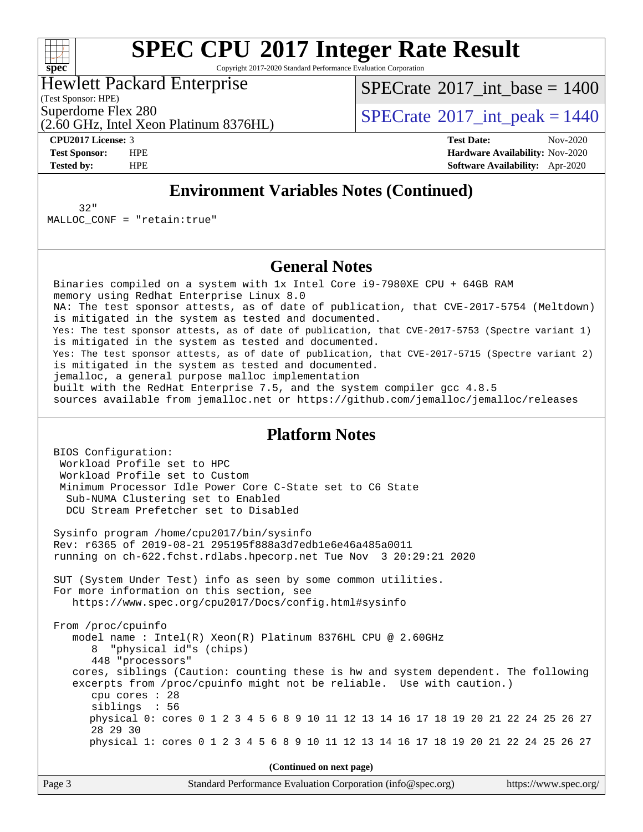

Copyright 2017-2020 Standard Performance Evaluation Corporation

### Hewlett Packard Enterprise

(Test Sponsor: HPE)

[SPECrate](http://www.spec.org/auto/cpu2017/Docs/result-fields.html#SPECrate2017intbase)®2017 int\_base =  $1400$ 

Superdome Flex 280<br>  $SPECTA = 1440$ <br>  $SPECTA = 1440$ 

(2.60 GHz, Intel Xeon Platinum 8376HL)

**[CPU2017 License:](http://www.spec.org/auto/cpu2017/Docs/result-fields.html#CPU2017License)** 3 **[Test Date:](http://www.spec.org/auto/cpu2017/Docs/result-fields.html#TestDate)** Nov-2020 **[Test Sponsor:](http://www.spec.org/auto/cpu2017/Docs/result-fields.html#TestSponsor)** HPE **[Hardware Availability:](http://www.spec.org/auto/cpu2017/Docs/result-fields.html#HardwareAvailability)** Nov-2020 **[Tested by:](http://www.spec.org/auto/cpu2017/Docs/result-fields.html#Testedby)** HPE **[Software Availability:](http://www.spec.org/auto/cpu2017/Docs/result-fields.html#SoftwareAvailability)** Apr-2020

#### **[Environment Variables Notes \(Continued\)](http://www.spec.org/auto/cpu2017/Docs/result-fields.html#EnvironmentVariablesNotes)**

 32" MALLOC\_CONF = "retain:true"

#### **[General Notes](http://www.spec.org/auto/cpu2017/Docs/result-fields.html#GeneralNotes)**

 Binaries compiled on a system with 1x Intel Core i9-7980XE CPU + 64GB RAM memory using Redhat Enterprise Linux 8.0 NA: The test sponsor attests, as of date of publication, that CVE-2017-5754 (Meltdown) is mitigated in the system as tested and documented. Yes: The test sponsor attests, as of date of publication, that CVE-2017-5753 (Spectre variant 1) is mitigated in the system as tested and documented. Yes: The test sponsor attests, as of date of publication, that CVE-2017-5715 (Spectre variant 2) is mitigated in the system as tested and documented. jemalloc, a general purpose malloc implementation built with the RedHat Enterprise 7.5, and the system compiler gcc 4.8.5 sources available from jemalloc.net or<https://github.com/jemalloc/jemalloc/releases>

#### **[Platform Notes](http://www.spec.org/auto/cpu2017/Docs/result-fields.html#PlatformNotes)**

 BIOS Configuration: Workload Profile set to HPC Workload Profile set to Custom Minimum Processor Idle Power Core C-State set to C6 State Sub-NUMA Clustering set to Enabled DCU Stream Prefetcher set to Disabled Sysinfo program /home/cpu2017/bin/sysinfo Rev: r6365 of 2019-08-21 295195f888a3d7edb1e6e46a485a0011 running on ch-622.fchst.rdlabs.hpecorp.net Tue Nov 3 20:29:21 2020 SUT (System Under Test) info as seen by some common utilities. For more information on this section, see <https://www.spec.org/cpu2017/Docs/config.html#sysinfo> From /proc/cpuinfo model name : Intel(R) Xeon(R) Platinum 8376HL CPU @ 2.60GHz 8 "physical id"s (chips) 448 "processors" cores, siblings (Caution: counting these is hw and system dependent. The following excerpts from /proc/cpuinfo might not be reliable. Use with caution.) cpu cores : 28 siblings : 56 physical 0: cores 0 1 2 3 4 5 6 8 9 10 11 12 13 14 16 17 18 19 20 21 22 24 25 26 27 28 29 30 physical 1: cores 0 1 2 3 4 5 6 8 9 10 11 12 13 14 16 17 18 19 20 21 22 24 25 26 27

**(Continued on next page)**

| Page 3 | Standard Performance Evaluation Corporation (info@spec.org) | https://www.spec.org/ |
|--------|-------------------------------------------------------------|-----------------------|
|--------|-------------------------------------------------------------|-----------------------|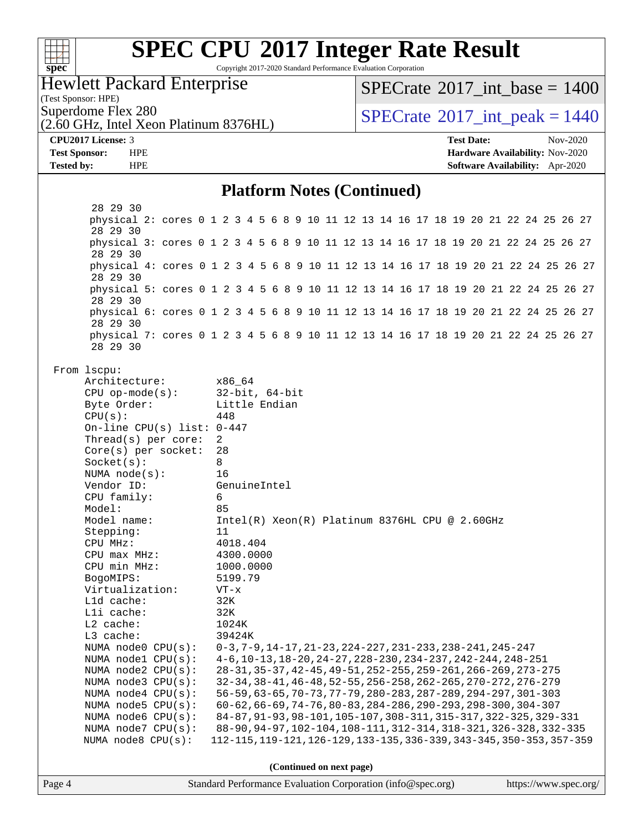| v.<br>c | L | E | L |  |
|---------|---|---|---|--|

Copyright 2017-2020 Standard Performance Evaluation Corporation

### Hewlett Packard Enterprise

 $SPECrate^{\circ}2017\_int\_base = 1400$  $SPECrate^{\circ}2017\_int\_base = 1400$ 

(Test Sponsor: HPE)

 $SPECrate<sup>®</sup>2017_int_ppeak = 1440$  $SPECrate<sup>®</sup>2017_int_ppeak = 1440$ 

## (2.60 GHz, Intel Xeon Platinum 8376HL)

**[CPU2017 License:](http://www.spec.org/auto/cpu2017/Docs/result-fields.html#CPU2017License)** 3 **[Test Date:](http://www.spec.org/auto/cpu2017/Docs/result-fields.html#TestDate)** Nov-2020 **[Test Sponsor:](http://www.spec.org/auto/cpu2017/Docs/result-fields.html#TestSponsor)** HPE **[Hardware Availability:](http://www.spec.org/auto/cpu2017/Docs/result-fields.html#HardwareAvailability)** Nov-2020 **[Tested by:](http://www.spec.org/auto/cpu2017/Docs/result-fields.html#Testedby)** HPE **[Software Availability:](http://www.spec.org/auto/cpu2017/Docs/result-fields.html#SoftwareAvailability)** Apr-2020

#### **[Platform Notes \(Continued\)](http://www.spec.org/auto/cpu2017/Docs/result-fields.html#PlatformNotes)**

| Page 4 |                                                                                                  |     |          |                      |  | Standard Performance Evaluation Corporation (info@spec.org)            |  |  |  |  |  |  | https://www.spec.org/ |
|--------|--------------------------------------------------------------------------------------------------|-----|----------|----------------------|--|------------------------------------------------------------------------|--|--|--|--|--|--|-----------------------|
|        |                                                                                                  |     |          |                      |  | (Continued on next page)                                               |  |  |  |  |  |  |                       |
|        |                                                                                                  |     |          |                      |  |                                                                        |  |  |  |  |  |  |                       |
|        | NUMA node8 CPU(s):                                                                               |     |          |                      |  | 112-115, 119-121, 126-129, 133-135, 336-339, 343-345, 350-353, 357-359 |  |  |  |  |  |  |                       |
|        | NUMA node7 CPU(s):                                                                               |     |          |                      |  | 88-90, 94-97, 102-104, 108-111, 312-314, 318-321, 326-328, 332-335     |  |  |  |  |  |  |                       |
|        | NUMA node6 CPU(s):                                                                               |     |          |                      |  | 84-87, 91-93, 98-101, 105-107, 308-311, 315-317, 322-325, 329-331      |  |  |  |  |  |  |                       |
|        | NUMA node5 CPU(s):                                                                               |     |          |                      |  | 60-62, 66-69, 74-76, 80-83, 284-286, 290-293, 298-300, 304-307         |  |  |  |  |  |  |                       |
|        | NUMA node4 CPU(s):                                                                               |     |          |                      |  | 56-59, 63-65, 70-73, 77-79, 280-283, 287-289, 294-297, 301-303         |  |  |  |  |  |  |                       |
|        | NUMA node3 CPU(s):                                                                               |     |          |                      |  | 32-34, 38-41, 46-48, 52-55, 256-258, 262-265, 270-272, 276-279         |  |  |  |  |  |  |                       |
|        | NUMA node2 CPU(s):                                                                               |     |          |                      |  | 28-31, 35-37, 42-45, 49-51, 252-255, 259-261, 266-269, 273-275         |  |  |  |  |  |  |                       |
|        | NUMA node0 CPU(s): 0-3,7-9,14-17,21-23,224-227,231-233,238-241,245-247<br>NUMA $node1$ $CPU(s):$ |     |          |                      |  | 4-6, 10-13, 18-20, 24-27, 228-230, 234-237, 242-244, 248-251           |  |  |  |  |  |  |                       |
|        | $L3$ cache:                                                                                      |     | 39424K   |                      |  |                                                                        |  |  |  |  |  |  |                       |
|        | L2 cache:                                                                                        |     | 1024K    |                      |  |                                                                        |  |  |  |  |  |  |                       |
|        | Lli cache:                                                                                       |     | 32K      |                      |  |                                                                        |  |  |  |  |  |  |                       |
|        | Lld cache:                                                                                       |     | 32K      |                      |  |                                                                        |  |  |  |  |  |  |                       |
|        | Virtualization:                                                                                  |     | $VT - x$ |                      |  |                                                                        |  |  |  |  |  |  |                       |
|        | BogoMIPS:                                                                                        |     | 5199.79  |                      |  |                                                                        |  |  |  |  |  |  |                       |
|        | CPU min MHz:                                                                                     |     |          | 1000.0000            |  |                                                                        |  |  |  |  |  |  |                       |
|        | CPU max MHz:                                                                                     |     |          | 4300.0000            |  |                                                                        |  |  |  |  |  |  |                       |
|        | CPU MHz:                                                                                         |     | 4018.404 |                      |  |                                                                        |  |  |  |  |  |  |                       |
|        | Stepping:                                                                                        | 11  |          |                      |  |                                                                        |  |  |  |  |  |  |                       |
|        | Model name:                                                                                      |     |          |                      |  | Intel(R) Xeon(R) Platinum 8376HL CPU @ 2.60GHz                         |  |  |  |  |  |  |                       |
|        | Model:                                                                                           | 85  |          |                      |  |                                                                        |  |  |  |  |  |  |                       |
|        | CPU family:                                                                                      | 6   |          |                      |  |                                                                        |  |  |  |  |  |  |                       |
|        | Vendor ID:                                                                                       |     |          | GenuineIntel         |  |                                                                        |  |  |  |  |  |  |                       |
|        | NUMA $node(s):$                                                                                  | 16  |          |                      |  |                                                                        |  |  |  |  |  |  |                       |
|        | $Socket(s)$ :                                                                                    | 8   |          |                      |  |                                                                        |  |  |  |  |  |  |                       |
|        | $Core(s)$ per socket:                                                                            | 28  |          |                      |  |                                                                        |  |  |  |  |  |  |                       |
|        | On-line CPU(s) list: $0-447$<br>Thread( $s$ ) per core:                                          | 2   |          |                      |  |                                                                        |  |  |  |  |  |  |                       |
|        | CPU(s):                                                                                          | 448 |          |                      |  |                                                                        |  |  |  |  |  |  |                       |
|        | Byte Order:                                                                                      |     |          | Little Endian        |  |                                                                        |  |  |  |  |  |  |                       |
|        | $CPU op-mode(s):$                                                                                |     |          | $32$ -bit, $64$ -bit |  |                                                                        |  |  |  |  |  |  |                       |
|        | Architecture:                                                                                    |     | x86 64   |                      |  |                                                                        |  |  |  |  |  |  |                       |
|        | From lscpu:                                                                                      |     |          |                      |  |                                                                        |  |  |  |  |  |  |                       |
|        | 28 29 30                                                                                         |     |          |                      |  |                                                                        |  |  |  |  |  |  |                       |
|        | physical 7: cores 0 1 2 3 4 5 6 8 9 10 11 12 13 14 16 17 18 19 20 21 22 24 25 26 27              |     |          |                      |  |                                                                        |  |  |  |  |  |  |                       |
|        | physical 6: cores 0 1 2 3 4 5 6 8 9 10 11 12 13 14 16 17 18 19 20 21 22 24 25 26 27<br>28 29 30  |     |          |                      |  |                                                                        |  |  |  |  |  |  |                       |
|        | physical 5: cores 0 1 2 3 4 5 6 8 9 10 11 12 13 14 16 17 18 19 20 21 22 24 25 26 27<br>28 29 30  |     |          |                      |  |                                                                        |  |  |  |  |  |  |                       |
|        | 28 29 30                                                                                         |     |          |                      |  |                                                                        |  |  |  |  |  |  |                       |
|        | 28 29 30<br>physical 4: cores 0 1 2 3 4 5 6 8 9 10 11 12 13 14 16 17 18 19 20 21 22 24 25 26 27  |     |          |                      |  |                                                                        |  |  |  |  |  |  |                       |
|        | physical 3: cores 0 1 2 3 4 5 6 8 9 10 11 12 13 14 16 17 18 19 20 21 22 24 25 26 27              |     |          |                      |  |                                                                        |  |  |  |  |  |  |                       |
|        | 28 29 30                                                                                         |     |          |                      |  |                                                                        |  |  |  |  |  |  |                       |
|        | physical 2: cores 0 1 2 3 4 5 6 8 9 10 11 12 13 14 16 17 18 19 20 21 22 24 25 26 27              |     |          |                      |  |                                                                        |  |  |  |  |  |  |                       |
|        | 28 29 30                                                                                         |     |          |                      |  |                                                                        |  |  |  |  |  |  |                       |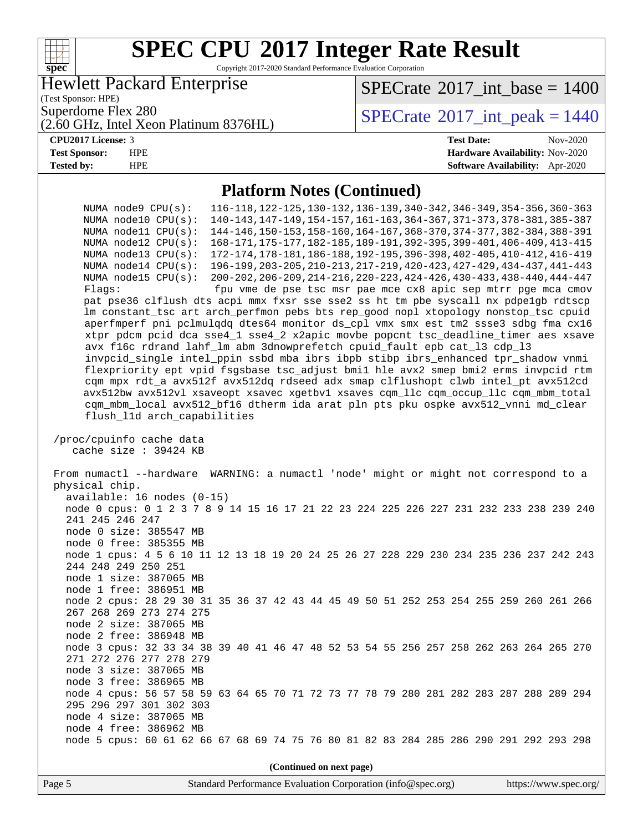#### **[SPEC CPU](http://www.spec.org/auto/cpu2017/Docs/result-fields.html#SPECCPU2017IntegerRateResult)[2017 Integer Rate Result](http://www.spec.org/auto/cpu2017/Docs/result-fields.html#SPECCPU2017IntegerRateResult)**  $\begin{matrix} & \ + \ + \end{matrix}$ **[spec](http://www.spec.org/)** Copyright 2017-2020 Standard Performance Evaluation Corporation Hewlett Packard Enterprise [SPECrate](http://www.spec.org/auto/cpu2017/Docs/result-fields.html#SPECrate2017intbase)®2017 int\_base =  $1400$ (Test Sponsor: HPE) Superdome Flex 280<br>  $SPECTA = 1440$ <br>  $SPECTA = 1440$ (2.60 GHz, Intel Xeon Platinum 8376HL) **[CPU2017 License:](http://www.spec.org/auto/cpu2017/Docs/result-fields.html#CPU2017License)** 3 **[Test Date:](http://www.spec.org/auto/cpu2017/Docs/result-fields.html#TestDate)** Nov-2020 **[Test Sponsor:](http://www.spec.org/auto/cpu2017/Docs/result-fields.html#TestSponsor)** HPE **[Hardware Availability:](http://www.spec.org/auto/cpu2017/Docs/result-fields.html#HardwareAvailability)** Nov-2020 **[Tested by:](http://www.spec.org/auto/cpu2017/Docs/result-fields.html#Testedby)** HPE **[Software Availability:](http://www.spec.org/auto/cpu2017/Docs/result-fields.html#SoftwareAvailability)** Apr-2020 **[Platform Notes \(Continued\)](http://www.spec.org/auto/cpu2017/Docs/result-fields.html#PlatformNotes)** NUMA node9 CPU(s): 116-118,122-125,130-132,136-139,340-342,346-349,354-356,360-363 NUMA node10 CPU(s): 140-143,147-149,154-157,161-163,364-367,371-373,378-381,385-387 NUMA node11 CPU(s): 144-146,150-153,158-160,164-167,368-370,374-377,382-384,388-391 NUMA node12 CPU(s): 168-171,175-177,182-185,189-191,392-395,399-401,406-409,413-415 NUMA node13 CPU(s): 172-174,178-181,186-188,192-195,396-398,402-405,410-412,416-419 NUMA node14 CPU(s): 196-199,203-205,210-213,217-219,420-423,427-429,434-437,441-443 NUMA node15 CPU(s): 200-202,206-209,214-216,220-223,424-426,430-433,438-440,444-447 Flags: fpu vme de pse tsc msr pae mce cx8 apic sep mtrr pge mca cmov pat pse36 clflush dts acpi mmx fxsr sse sse2 ss ht tm pbe syscall nx pdpe1gb rdtscp lm constant\_tsc art arch\_perfmon pebs bts rep\_good nopl xtopology nonstop\_tsc cpuid aperfmperf pni pclmulqdq dtes64 monitor ds\_cpl vmx smx est tm2 ssse3 sdbg fma cx16 xtpr pdcm pcid dca sse4\_1 sse4\_2 x2apic movbe popcnt tsc\_deadline\_timer aes xsave avx f16c rdrand lahf\_lm abm 3dnowprefetch cpuid\_fault epb cat\_l3 cdp\_l3 invpcid\_single intel\_ppin ssbd mba ibrs ibpb stibp ibrs\_enhanced tpr\_shadow vnmi flexpriority ept vpid fsgsbase tsc\_adjust bmi1 hle avx2 smep bmi2 erms invpcid rtm cqm mpx rdt\_a avx512f avx512dq rdseed adx smap clflushopt clwb intel\_pt avx512cd avx512bw avx512vl xsaveopt xsavec xgetbv1 xsaves cqm\_llc cqm\_occup\_llc cqm\_mbm\_total cqm\_mbm\_local avx512\_bf16 dtherm ida arat pln pts pku ospke avx512\_vnni md\_clear flush\_l1d arch\_capabilities /proc/cpuinfo cache data cache size : 39424 KB From numactl --hardware WARNING: a numactl 'node' might or might not correspond to a physical chip. available: 16 nodes (0-15) node 0 cpus: 0 1 2 3 7 8 9 14 15 16 17 21 22 23 224 225 226 227 231 232 233 238 239 240 241 245 246 247 node 0 size: 385547 MB node 0 free: 385355 MB node 1 cpus: 4 5 6 10 11 12 13 18 19 20 24 25 26 27 228 229 230 234 235 236 237 242 243 244 248 249 250 251 node 1 size: 387065 MB node 1 free: 386951 MB node 2 cpus: 28 29 30 31 35 36 37 42 43 44 45 49 50 51 252 253 254 255 259 260 261 266 267 268 269 273 274 275 node 2 size: 387065 MB node 2 free: 386948 MB node 3 cpus: 32 33 34 38 39 40 41 46 47 48 52 53 54 55 256 257 258 262 263 264 265 270 271 272 276 277 278 279 node 3 size: 387065 MB node 3 free: 386965 MB node 4 cpus: 56 57 58 59 63 64 65 70 71 72 73 77 78 79 280 281 282 283 287 288 289 294 295 296 297 301 302 303 node 4 size: 387065 MB node 4 free: 386962 MB node 5 cpus: 60 61 62 66 67 68 69 74 75 76 80 81 82 83 284 285 286 290 291 292 293 298 **(Continued on next page)**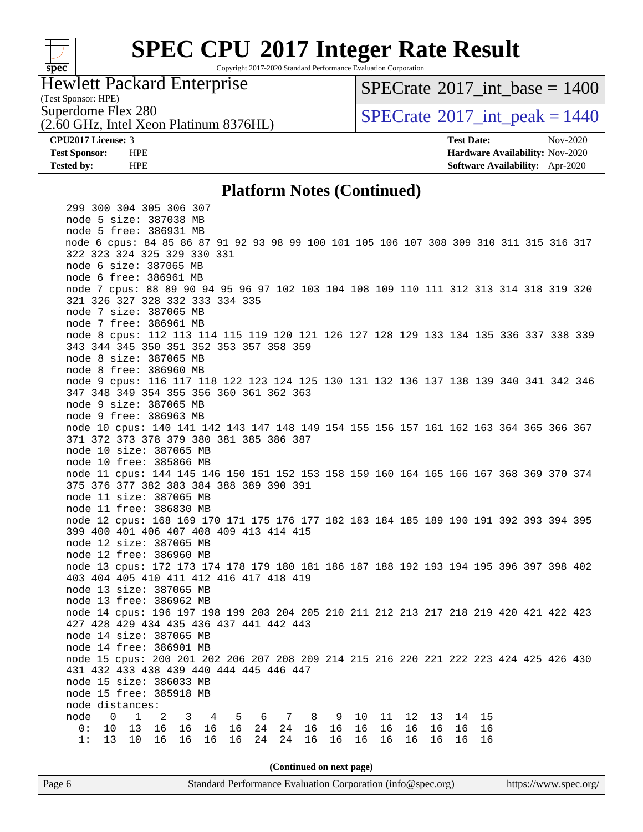

Copyright 2017-2020 Standard Performance Evaluation Corporation

#### Hewlett Packard Enterprise

(Test Sponsor: HPE)

[SPECrate](http://www.spec.org/auto/cpu2017/Docs/result-fields.html#SPECrate2017intbase)®2017 int\_base =  $1400$ 

(2.60 GHz, Intel Xeon Platinum 8376HL)

Superdome Flex 280<br>  $S$ PECrate®2017 int peak = 1440

**[CPU2017 License:](http://www.spec.org/auto/cpu2017/Docs/result-fields.html#CPU2017License)** 3 **[Test Date:](http://www.spec.org/auto/cpu2017/Docs/result-fields.html#TestDate)** Nov-2020 **[Test Sponsor:](http://www.spec.org/auto/cpu2017/Docs/result-fields.html#TestSponsor)** HPE **[Hardware Availability:](http://www.spec.org/auto/cpu2017/Docs/result-fields.html#HardwareAvailability)** Nov-2020 **[Tested by:](http://www.spec.org/auto/cpu2017/Docs/result-fields.html#Testedby)** HPE **[Software Availability:](http://www.spec.org/auto/cpu2017/Docs/result-fields.html#SoftwareAvailability)** Apr-2020

#### **[Platform Notes \(Continued\)](http://www.spec.org/auto/cpu2017/Docs/result-fields.html#PlatformNotes)**

Page 6 Standard Performance Evaluation Corporation [\(info@spec.org\)](mailto:info@spec.org) <https://www.spec.org/>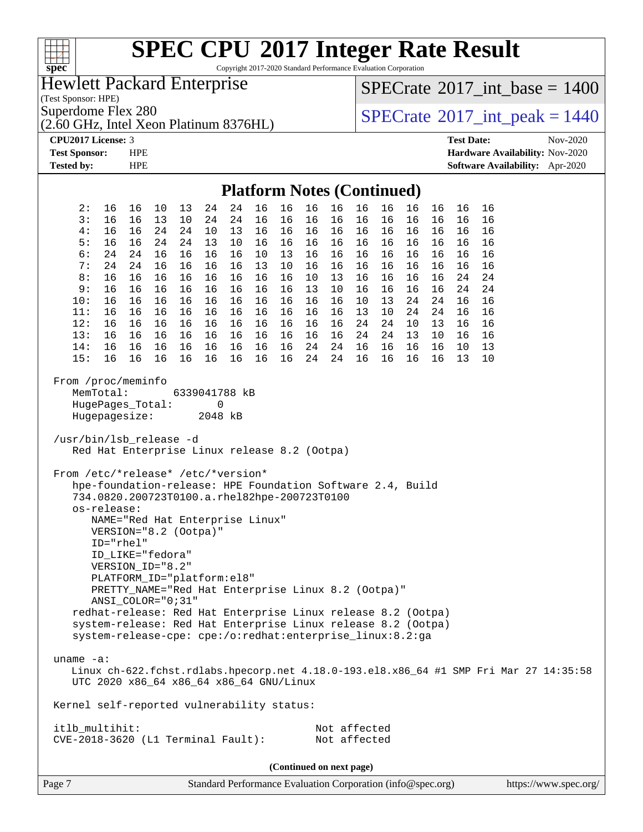| F T T T<br>$spec^*$                                                                                                                                                                                                                                                                                                                                                                                                                                                                                                                          |                                                                                                                                                                                                           |          | Copyright 2017-2020 Standard Performance Evaluation Corporation |                                   |          |          |                              |          |          |          |          |                   | <b>SPEC CPU®2017 Integer Rate Result</b>                                               |          |
|----------------------------------------------------------------------------------------------------------------------------------------------------------------------------------------------------------------------------------------------------------------------------------------------------------------------------------------------------------------------------------------------------------------------------------------------------------------------------------------------------------------------------------------------|-----------------------------------------------------------------------------------------------------------------------------------------------------------------------------------------------------------|----------|-----------------------------------------------------------------|-----------------------------------|----------|----------|------------------------------|----------|----------|----------|----------|-------------------|----------------------------------------------------------------------------------------|----------|
| Hewlett Packard Enterprise                                                                                                                                                                                                                                                                                                                                                                                                                                                                                                                   |                                                                                                                                                                                                           |          |                                                                 |                                   |          |          |                              |          |          |          |          |                   | $SPECrate^{\circ}2017\_int\_base = 1400$                                               |          |
| (Test Sponsor: HPE)<br>Superdome Flex 280                                                                                                                                                                                                                                                                                                                                                                                                                                                                                                    |                                                                                                                                                                                                           |          |                                                                 |                                   |          |          |                              |          |          |          |          |                   | $SPECTate@2017_int\_peak = 1440$                                                       |          |
| (2.60 GHz, Intel Xeon Platinum 8376HL)                                                                                                                                                                                                                                                                                                                                                                                                                                                                                                       |                                                                                                                                                                                                           |          |                                                                 |                                   |          |          |                              |          |          |          |          |                   |                                                                                        |          |
| CPU2017 License: 3<br><b>Test Sponsor:</b>                                                                                                                                                                                                                                                                                                                                                                                                                                                                                                   | <b>HPE</b>                                                                                                                                                                                                |          |                                                                 |                                   |          |          |                              |          |          |          |          | <b>Test Date:</b> | Hardware Availability: Nov-2020                                                        | Nov-2020 |
| <b>Tested by:</b>                                                                                                                                                                                                                                                                                                                                                                                                                                                                                                                            | <b>HPE</b>                                                                                                                                                                                                |          |                                                                 |                                   |          |          |                              |          |          |          |          |                   | <b>Software Availability:</b> Apr-2020                                                 |          |
|                                                                                                                                                                                                                                                                                                                                                                                                                                                                                                                                              |                                                                                                                                                                                                           |          |                                                                 | <b>Platform Notes (Continued)</b> |          |          |                              |          |          |          |          |                   |                                                                                        |          |
| 2:<br>16                                                                                                                                                                                                                                                                                                                                                                                                                                                                                                                                     | 16<br>10                                                                                                                                                                                                  | 13       | 24<br>24                                                        | 16                                | 16       | 16       | 16                           | 16       | 16       | 16       | 16       | 16                | 16                                                                                     |          |
| 3:<br>16<br>4 :<br>16                                                                                                                                                                                                                                                                                                                                                                                                                                                                                                                        | 16<br>13<br>16<br>24                                                                                                                                                                                      | 10<br>24 | 24<br>24<br>10<br>13                                            | 16<br>16                          | 16<br>16 | 16<br>16 | 16<br>16                     | 16<br>16 | 16<br>16 | 16<br>16 | 16<br>16 | 16<br>16          | 16<br>16                                                                               |          |
| 5:<br>16                                                                                                                                                                                                                                                                                                                                                                                                                                                                                                                                     | 16<br>24                                                                                                                                                                                                  | 24       | 13<br>10                                                        | 16                                | 16       | 16       | 16                           | 16       | 16       | 16       | 16       | 16                | 16                                                                                     |          |
| 6:<br>24                                                                                                                                                                                                                                                                                                                                                                                                                                                                                                                                     | 24<br>16                                                                                                                                                                                                  | 16       | 16<br>16                                                        | 10                                | 13       | 16       | 16                           | 16       | 16       | 16       | 16       | 16                | 16                                                                                     |          |
| 7:<br>24<br>8:<br>16                                                                                                                                                                                                                                                                                                                                                                                                                                                                                                                         | 24<br>16<br>16<br>16                                                                                                                                                                                      | 16<br>16 | 16<br>16<br>16<br>16                                            | 13<br>16                          | 10<br>16 | 16<br>10 | 16<br>13                     | 16<br>16 | 16<br>16 | 16<br>16 | 16<br>16 | 16<br>24          | 16<br>24                                                                               |          |
| 9 :<br>16                                                                                                                                                                                                                                                                                                                                                                                                                                                                                                                                    | 16<br>16                                                                                                                                                                                                  | 16       | 16<br>16                                                        | 16                                | 16       | 13       | 10                           | 16       | 16       | 16       | 16       | 24                | 24                                                                                     |          |
| 10:<br>16<br>11:<br>16                                                                                                                                                                                                                                                                                                                                                                                                                                                                                                                       | 16<br>16<br>16<br>16                                                                                                                                                                                      | 16<br>16 | 16<br>16<br>16<br>16                                            | 16<br>16                          | 16<br>16 | 16<br>16 | 16<br>16                     | 10<br>13 | 13<br>10 | 24<br>24 | 24<br>24 | 16<br>16          | 16<br>16                                                                               |          |
| 12:<br>16                                                                                                                                                                                                                                                                                                                                                                                                                                                                                                                                    | 16<br>16                                                                                                                                                                                                  | 16       | 16<br>16                                                        | 16                                | 16       | 16       | 16                           | 24       | 24       | 10       | 13       | 16                | 16                                                                                     |          |
| 13:<br>16<br>14:<br>16                                                                                                                                                                                                                                                                                                                                                                                                                                                                                                                       | 16<br>16<br>16<br>16                                                                                                                                                                                      | 16<br>16 | 16<br>16<br>16<br>16                                            | 16<br>16                          | 16<br>16 | 16<br>24 | 16<br>24                     | 24<br>16 | 24<br>16 | 13<br>16 | 10<br>16 | 16<br>10          | 16<br>13                                                                               |          |
| 15:<br>16                                                                                                                                                                                                                                                                                                                                                                                                                                                                                                                                    | 16<br>16                                                                                                                                                                                                  | 16       | 16<br>16                                                        | 16                                | 16       | 24       | 24                           | 16       | 16       | 16       | 16       | 13                | 10                                                                                     |          |
| From /proc/meminfo<br>MemTotal:<br>HugePages_Total:<br>Hugepagesize:<br>/usr/bin/lsb_release -d<br>Red Hat Enterprise Linux release 8.2 (Ootpa)<br>From /etc/*release* /etc/*version*<br>hpe-foundation-release: HPE Foundation Software 2.4, Build<br>734.0820.200723T0100.a.rhel82hpe-200723T0100<br>os-release:<br>ID="rhel"<br>redhat-release: Red Hat Enterprise Linux release 8.2 (Ootpa)<br>system-release: Red Hat Enterprise Linux release 8.2 (Ootpa)<br>system-release-cpe: cpe:/o:redhat:enterprise_linux:8.2:ga<br>uname $-a$ : | NAME="Red Hat Enterprise Linux"<br>VERSION="8.2 (Ootpa)"<br>ID LIKE="fedora"<br>VERSION_ID="8.2"<br>PLATFORM_ID="platform:el8"<br>PRETTY_NAME="Red Hat Enterprise Linux 8.2 (Ootpa)"<br>ANSI_COLOR="0;31" |          | 6339041788 kB<br>0<br>2048 kB                                   |                                   |          |          |                              |          |          |          |          |                   |                                                                                        |          |
| UTC 2020 x86_64 x86_64 x86_64 GNU/Linux                                                                                                                                                                                                                                                                                                                                                                                                                                                                                                      |                                                                                                                                                                                                           |          |                                                                 |                                   |          |          |                              |          |          |          |          |                   | Linux ch-622.fchst.rdlabs.hpecorp.net 4.18.0-193.el8.x86_64 #1 SMP Fri Mar 27 14:35:58 |          |
| Kernel self-reported vulnerability status:                                                                                                                                                                                                                                                                                                                                                                                                                                                                                                   |                                                                                                                                                                                                           |          |                                                                 |                                   |          |          |                              |          |          |          |          |                   |                                                                                        |          |
| itlb_multihit:<br>$CVE-2018-3620$ (L1 Terminal Fault):                                                                                                                                                                                                                                                                                                                                                                                                                                                                                       |                                                                                                                                                                                                           |          |                                                                 |                                   |          |          | Not affected<br>Not affected |          |          |          |          |                   |                                                                                        |          |
|                                                                                                                                                                                                                                                                                                                                                                                                                                                                                                                                              |                                                                                                                                                                                                           |          |                                                                 |                                   |          |          | (Continued on next page)     |          |          |          |          |                   |                                                                                        |          |

Page 7 Standard Performance Evaluation Corporation [\(info@spec.org\)](mailto:info@spec.org) <https://www.spec.org/>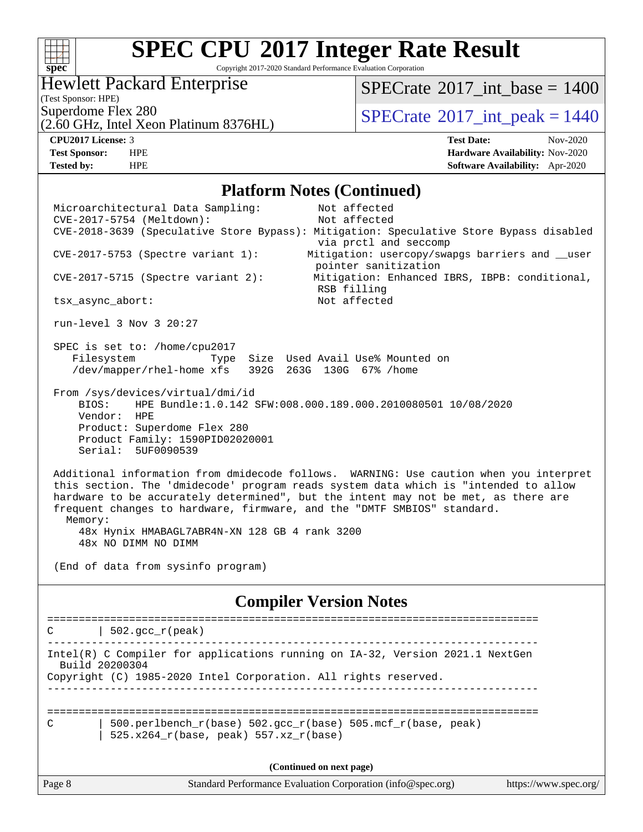#### $+\!+\!$ **[spec](http://www.spec.org/)**

# **[SPEC CPU](http://www.spec.org/auto/cpu2017/Docs/result-fields.html#SPECCPU2017IntegerRateResult)[2017 Integer Rate Result](http://www.spec.org/auto/cpu2017/Docs/result-fields.html#SPECCPU2017IntegerRateResult)**

Copyright 2017-2020 Standard Performance Evaluation Corporation

#### Hewlett Packard Enterprise

[SPECrate](http://www.spec.org/auto/cpu2017/Docs/result-fields.html#SPECrate2017intbase)®2017 int\_base =  $1400$ 

(Test Sponsor: HPE)

Superdome Flex 280<br>  $S$ PECrate®2017 int peak = 1440

(2.60 GHz, Intel Xeon Platinum 8376HL)

**[CPU2017 License:](http://www.spec.org/auto/cpu2017/Docs/result-fields.html#CPU2017License)** 3 **[Test Date:](http://www.spec.org/auto/cpu2017/Docs/result-fields.html#TestDate)** Nov-2020 **[Test Sponsor:](http://www.spec.org/auto/cpu2017/Docs/result-fields.html#TestSponsor)** HPE **[Hardware Availability:](http://www.spec.org/auto/cpu2017/Docs/result-fields.html#HardwareAvailability)** Nov-2020 **[Tested by:](http://www.spec.org/auto/cpu2017/Docs/result-fields.html#Testedby)** HPE **[Software Availability:](http://www.spec.org/auto/cpu2017/Docs/result-fields.html#SoftwareAvailability)** Apr-2020

#### **[Platform Notes \(Continued\)](http://www.spec.org/auto/cpu2017/Docs/result-fields.html#PlatformNotes)**

Page 8 Standard Performance Evaluation Corporation [\(info@spec.org\)](mailto:info@spec.org) <https://www.spec.org/> Microarchitectural Data Sampling: Not affected CVE-2017-5754 (Meltdown): Not affected CVE-2018-3639 (Speculative Store Bypass): Mitigation: Speculative Store Bypass disabled via prctl and seccomp CVE-2017-5753 (Spectre variant 1): Mitigation: usercopy/swapgs barriers and \_\_user pointer sanitization CVE-2017-5715 (Spectre variant 2): Mitigation: Enhanced IBRS, IBPB: conditional, RSB filling tsx\_async\_abort: Not affected run-level 3 Nov 3 20:27 SPEC is set to: /home/cpu2017 Filesystem Type Size Used Avail Use% Mounted on /dev/mapper/rhel-home xfs 392G 263G 130G 67% /home From /sys/devices/virtual/dmi/id BIOS: HPE Bundle:1.0.142 SFW:008.000.189.000.2010080501 10/08/2020 Vendor: HPE Product: Superdome Flex 280 Product Family: 1590PID02020001 Serial: 5UF0090539 Additional information from dmidecode follows. WARNING: Use caution when you interpret this section. The 'dmidecode' program reads system data which is "intended to allow hardware to be accurately determined", but the intent may not be met, as there are frequent changes to hardware, firmware, and the "DMTF SMBIOS" standard. Memory: 48x Hynix HMABAGL7ABR4N-XN 128 GB 4 rank 3200 48x NO DIMM NO DIMM (End of data from sysinfo program) **[Compiler Version Notes](http://www.spec.org/auto/cpu2017/Docs/result-fields.html#CompilerVersionNotes)** ==============================================================================  $C$  | 502.gcc  $r(\text{peak})$ ------------------------------------------------------------------------------ Intel(R) C Compiler for applications running on IA-32, Version 2021.1 NextGen Build 20200304 Copyright (C) 1985-2020 Intel Corporation. All rights reserved. ------------------------------------------------------------------------------ ============================================================================== C | 500.perlbench  $r(base)$  502.gcc  $r(base)$  505.mcf  $r(base, peak)$ | 525.x264  $r(base, peak)$  557.xz  $r(base)$ **(Continued on next page)**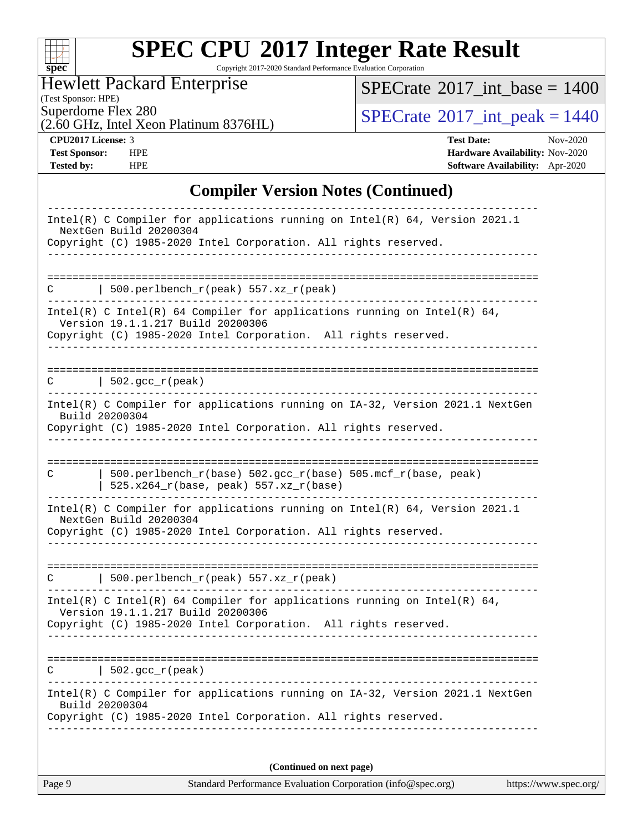| s:<br>č | U | t |  |
|---------|---|---|--|

Copyright 2017-2020 Standard Performance Evaluation Corporation

Hewlett Packard Enterprise

 $SPECTate$ <sup>®</sup>[2017\\_int\\_base =](http://www.spec.org/auto/cpu2017/Docs/result-fields.html#SPECrate2017intbase) 1400

(Test Sponsor: HPE)

(2.60 GHz, Intel Xeon Platinum 8376HL)

 $SPECTate$ <sup>®</sup>[2017\\_int\\_peak = 1](http://www.spec.org/auto/cpu2017/Docs/result-fields.html#SPECrate2017intpeak)440

**[CPU2017 License:](http://www.spec.org/auto/cpu2017/Docs/result-fields.html#CPU2017License)** 3 **[Test Date:](http://www.spec.org/auto/cpu2017/Docs/result-fields.html#TestDate)** Nov-2020 **[Test Sponsor:](http://www.spec.org/auto/cpu2017/Docs/result-fields.html#TestSponsor)** HPE **[Hardware Availability:](http://www.spec.org/auto/cpu2017/Docs/result-fields.html#HardwareAvailability)** Nov-2020 **[Tested by:](http://www.spec.org/auto/cpu2017/Docs/result-fields.html#Testedby)** HPE **[Software Availability:](http://www.spec.org/auto/cpu2017/Docs/result-fields.html#SoftwareAvailability)** Apr-2020

#### **[Compiler Version Notes \(Continued\)](http://www.spec.org/auto/cpu2017/Docs/result-fields.html#CompilerVersionNotes)**

| NextGen Build 20200304<br>Copyright (C) 1985-2020 Intel Corporation. All rights reserved.<br>500.perlbench_r(peak) 557.xz_r(peak)<br>Version 19.1.1.217 Build 20200306<br><u>Liste Liste</u> |  |
|----------------------------------------------------------------------------------------------------------------------------------------------------------------------------------------------|--|
|                                                                                                                                                                                              |  |
|                                                                                                                                                                                              |  |
| Intel(R) C Intel(R) 64 Compiler for applications running on Intel(R) 64,<br>Copyright (C) 1985-2020 Intel Corporation. All rights reserved.                                                  |  |
|                                                                                                                                                                                              |  |
| --------------------------<br>====================================<br>$\vert$ 502.gcc_r(peak)<br>C                                                                                           |  |
| Intel(R) C Compiler for applications running on IA-32, Version 2021.1 NextGen<br>Build 20200304<br>Copyright (C) 1985-2020 Intel Corporation. All rights reserved.                           |  |
|                                                                                                                                                                                              |  |
| 500.perlbench_r(base) 502.gcc_r(base) 505.mcf_r(base, peak)<br>C<br>525.x264_r(base, peak) 557.xz_r(base)                                                                                    |  |
| Intel(R) C Compiler for applications running on Intel(R) $64$ , Version 2021.1<br>NextGen Build 20200304<br>Copyright (C) 1985-2020 Intel Corporation. All rights reserved.                  |  |
| 500.perlbench_r(peak) 557.xz_r(peak)<br>C                                                                                                                                                    |  |
| Intel(R) C Intel(R) 64 Compiler for applications running on Intel(R) 64,<br>Version 19.1.1.217 Build 20200306<br>Copyright (C) 1985-2020 Intel Corporation. All rights reserved.             |  |
|                                                                                                                                                                                              |  |
| $502.$ $\text{gcc\_r}$ (peak)<br>C                                                                                                                                                           |  |
| Intel(R) C Compiler for applications running on IA-32, Version 2021.1 NextGen<br>Build 20200304                                                                                              |  |
| Copyright (C) 1985-2020 Intel Corporation. All rights reserved.                                                                                                                              |  |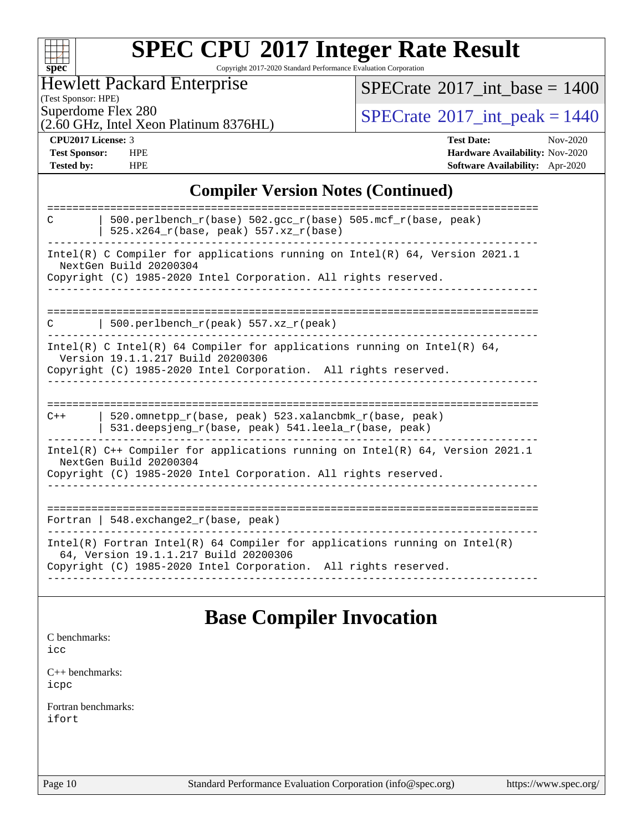| S.<br>N | U | e |  |
|---------|---|---|--|

Copyright 2017-2020 Standard Performance Evaluation Corporation

#### Hewlett Packard Enterprise

(Test Sponsor: HPE)<br>Superdome Flex 280

[SPECrate](http://www.spec.org/auto/cpu2017/Docs/result-fields.html#SPECrate2017intbase)<sup>®</sup>2017 int\_base = 1400

(2.60 GHz, Intel Xeon Platinum 8376HL)

 $SPECTate$ <sup>®</sup>[2017\\_int\\_peak = 1](http://www.spec.org/auto/cpu2017/Docs/result-fields.html#SPECrate2017intpeak)440

**[CPU2017 License:](http://www.spec.org/auto/cpu2017/Docs/result-fields.html#CPU2017License)** 3 **[Test Date:](http://www.spec.org/auto/cpu2017/Docs/result-fields.html#TestDate)** Nov-2020 **[Test Sponsor:](http://www.spec.org/auto/cpu2017/Docs/result-fields.html#TestSponsor)** HPE **[Hardware Availability:](http://www.spec.org/auto/cpu2017/Docs/result-fields.html#HardwareAvailability)** Nov-2020 **[Tested by:](http://www.spec.org/auto/cpu2017/Docs/result-fields.html#Testedby)** HPE **[Software Availability:](http://www.spec.org/auto/cpu2017/Docs/result-fields.html#SoftwareAvailability)** Apr-2020

#### **[Compiler Version Notes \(Continued\)](http://www.spec.org/auto/cpu2017/Docs/result-fields.html#CompilerVersionNotes)**

| 500.perlbench $r(base)$ 502.qcc $r(base)$ 505.mcf $r(base, peak)$<br>C<br>$525.x264_r(base, peak) 557.xz_r(base)$                                                                      |
|----------------------------------------------------------------------------------------------------------------------------------------------------------------------------------------|
| Intel(R) C Compiler for applications running on Intel(R) $64$ , Version 2021.1<br>NextGen Build 20200304                                                                               |
| Copyright (C) 1985-2020 Intel Corporation. All rights reserved.                                                                                                                        |
|                                                                                                                                                                                        |
| 500.perlbench $r(\text{peak})$ 557.xz $r(\text{peak})$<br>C                                                                                                                            |
| Intel(R) C Intel(R) 64 Compiler for applications running on Intel(R) 64,<br>Version 19.1.1.217 Build 20200306                                                                          |
| Copyright (C) 1985-2020 Intel Corporation. All rights reserved.                                                                                                                        |
|                                                                                                                                                                                        |
| 520.omnetpp r(base, peak) 523.xalancbmk r(base, peak)<br>$C++$<br>531.deepsjeng_r(base, peak) 541.leela_r(base, peak)                                                                  |
| Intel(R) $C++$ Compiler for applications running on Intel(R) 64, Version 2021.1<br>NextGen Build 20200304                                                                              |
| Copyright (C) 1985-2020 Intel Corporation. All rights reserved.                                                                                                                        |
|                                                                                                                                                                                        |
| Fortran   548.exchange2_r(base, peak)                                                                                                                                                  |
| Intel(R) Fortran Intel(R) 64 Compiler for applications running on Intel(R)<br>64, Version 19.1.1.217 Build 20200306<br>Copyright (C) 1985-2020 Intel Corporation. All rights reserved. |
|                                                                                                                                                                                        |

### **[Base Compiler Invocation](http://www.spec.org/auto/cpu2017/Docs/result-fields.html#BaseCompilerInvocation)**

[C benchmarks](http://www.spec.org/auto/cpu2017/Docs/result-fields.html#Cbenchmarks): [icc](http://www.spec.org/cpu2017/results/res2020q4/cpu2017-20201123-24427.flags.html#user_CCbase_intel_icc_66fc1ee009f7361af1fbd72ca7dcefbb700085f36577c54f309893dd4ec40d12360134090235512931783d35fd58c0460139e722d5067c5574d8eaf2b3e37e92)

[C++ benchmarks:](http://www.spec.org/auto/cpu2017/Docs/result-fields.html#CXXbenchmarks) [icpc](http://www.spec.org/cpu2017/results/res2020q4/cpu2017-20201123-24427.flags.html#user_CXXbase_intel_icpc_c510b6838c7f56d33e37e94d029a35b4a7bccf4766a728ee175e80a419847e808290a9b78be685c44ab727ea267ec2f070ec5dc83b407c0218cded6866a35d07)

[Fortran benchmarks](http://www.spec.org/auto/cpu2017/Docs/result-fields.html#Fortranbenchmarks): [ifort](http://www.spec.org/cpu2017/results/res2020q4/cpu2017-20201123-24427.flags.html#user_FCbase_intel_ifort_8111460550e3ca792625aed983ce982f94888b8b503583aa7ba2b8303487b4d8a21a13e7191a45c5fd58ff318f48f9492884d4413fa793fd88dd292cad7027ca)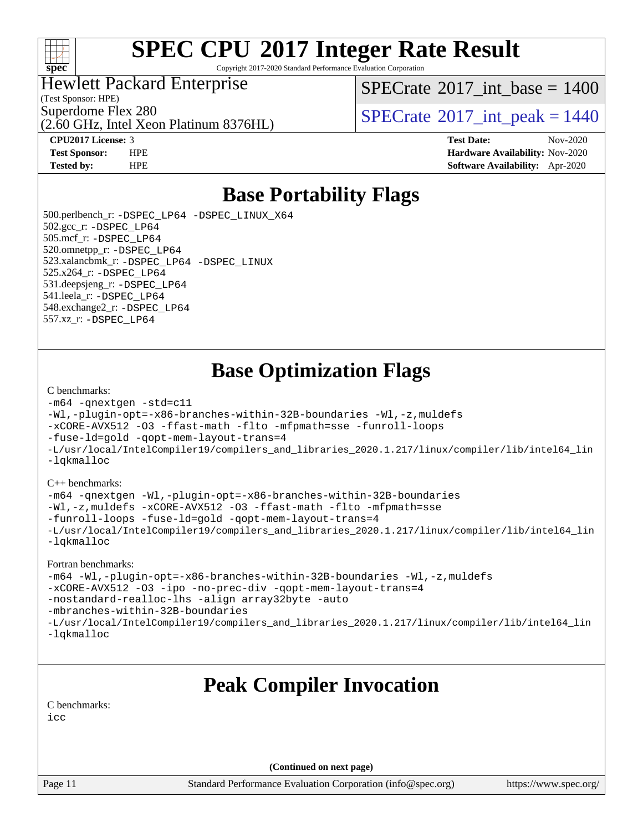

Copyright 2017-2020 Standard Performance Evaluation Corporation

#### Hewlett Packard Enterprise

(Test Sponsor: HPE)

[SPECrate](http://www.spec.org/auto/cpu2017/Docs/result-fields.html#SPECrate2017intbase)<sup>®</sup>2017 int base = 1400

(2.60 GHz, Intel Xeon Platinum 8376HL)

Superdome Flex 280<br>  $S$ PECrate®2017 int peak = 1440

**[CPU2017 License:](http://www.spec.org/auto/cpu2017/Docs/result-fields.html#CPU2017License)** 3 **[Test Date:](http://www.spec.org/auto/cpu2017/Docs/result-fields.html#TestDate)** Nov-2020 **[Test Sponsor:](http://www.spec.org/auto/cpu2017/Docs/result-fields.html#TestSponsor)** HPE **[Hardware Availability:](http://www.spec.org/auto/cpu2017/Docs/result-fields.html#HardwareAvailability)** Nov-2020 **[Tested by:](http://www.spec.org/auto/cpu2017/Docs/result-fields.html#Testedby)** HPE **[Software Availability:](http://www.spec.org/auto/cpu2017/Docs/result-fields.html#SoftwareAvailability)** Apr-2020

### **[Base Portability Flags](http://www.spec.org/auto/cpu2017/Docs/result-fields.html#BasePortabilityFlags)**

 500.perlbench\_r: [-DSPEC\\_LP64](http://www.spec.org/cpu2017/results/res2020q4/cpu2017-20201123-24427.flags.html#b500.perlbench_r_basePORTABILITY_DSPEC_LP64) [-DSPEC\\_LINUX\\_X64](http://www.spec.org/cpu2017/results/res2020q4/cpu2017-20201123-24427.flags.html#b500.perlbench_r_baseCPORTABILITY_DSPEC_LINUX_X64) 502.gcc\_r: [-DSPEC\\_LP64](http://www.spec.org/cpu2017/results/res2020q4/cpu2017-20201123-24427.flags.html#suite_basePORTABILITY502_gcc_r_DSPEC_LP64) 505.mcf\_r: [-DSPEC\\_LP64](http://www.spec.org/cpu2017/results/res2020q4/cpu2017-20201123-24427.flags.html#suite_basePORTABILITY505_mcf_r_DSPEC_LP64) 520.omnetpp\_r: [-DSPEC\\_LP64](http://www.spec.org/cpu2017/results/res2020q4/cpu2017-20201123-24427.flags.html#suite_basePORTABILITY520_omnetpp_r_DSPEC_LP64) 523.xalancbmk\_r: [-DSPEC\\_LP64](http://www.spec.org/cpu2017/results/res2020q4/cpu2017-20201123-24427.flags.html#suite_basePORTABILITY523_xalancbmk_r_DSPEC_LP64) [-DSPEC\\_LINUX](http://www.spec.org/cpu2017/results/res2020q4/cpu2017-20201123-24427.flags.html#b523.xalancbmk_r_baseCXXPORTABILITY_DSPEC_LINUX) 525.x264\_r: [-DSPEC\\_LP64](http://www.spec.org/cpu2017/results/res2020q4/cpu2017-20201123-24427.flags.html#suite_basePORTABILITY525_x264_r_DSPEC_LP64) 531.deepsjeng\_r: [-DSPEC\\_LP64](http://www.spec.org/cpu2017/results/res2020q4/cpu2017-20201123-24427.flags.html#suite_basePORTABILITY531_deepsjeng_r_DSPEC_LP64) 541.leela\_r: [-DSPEC\\_LP64](http://www.spec.org/cpu2017/results/res2020q4/cpu2017-20201123-24427.flags.html#suite_basePORTABILITY541_leela_r_DSPEC_LP64) 548.exchange2\_r: [-DSPEC\\_LP64](http://www.spec.org/cpu2017/results/res2020q4/cpu2017-20201123-24427.flags.html#suite_basePORTABILITY548_exchange2_r_DSPEC_LP64) 557.xz\_r: [-DSPEC\\_LP64](http://www.spec.org/cpu2017/results/res2020q4/cpu2017-20201123-24427.flags.html#suite_basePORTABILITY557_xz_r_DSPEC_LP64)

### **[Base Optimization Flags](http://www.spec.org/auto/cpu2017/Docs/result-fields.html#BaseOptimizationFlags)**

#### [C benchmarks](http://www.spec.org/auto/cpu2017/Docs/result-fields.html#Cbenchmarks):

```
-m64 -qnextgen -std=c11
-Wl,-plugin-opt=-x86-branches-within-32B-boundaries -Wl,-z,muldefs
-xCORE-AVX512 -O3 -ffast-math -flto -mfpmath=sse -funroll-loops
-fuse-ld=gold -qopt-mem-layout-trans=4
-L/usr/local/IntelCompiler19/compilers_and_libraries_2020.1.217/linux/compiler/lib/intel64_lin
-lqkmalloc
```
#### [C++ benchmarks](http://www.spec.org/auto/cpu2017/Docs/result-fields.html#CXXbenchmarks):

```
-m64 -qnextgen -Wl,-plugin-opt=-x86-branches-within-32B-boundaries
-Wl,-z,muldefs -xCORE-AVX512 -O3 -ffast-math -flto -mfpmath=sse
-funroll-loops -fuse-ld=gold -qopt-mem-layout-trans=4
-L/usr/local/IntelCompiler19/compilers_and_libraries_2020.1.217/linux/compiler/lib/intel64_lin
-lqkmalloc
```
#### [Fortran benchmarks:](http://www.spec.org/auto/cpu2017/Docs/result-fields.html#Fortranbenchmarks)

```
-m64 -Wl,-plugin-opt=-x86-branches-within-32B-boundaries -Wl,-z,muldefs
-xCORE-AVX512 -O3 -ipo -no-prec-div -qopt-mem-layout-trans=4
-nostandard-realloc-lhs -align array32byte -auto
-mbranches-within-32B-boundaries
-L/usr/local/IntelCompiler19/compilers_and_libraries_2020.1.217/linux/compiler/lib/intel64_lin
-lqkmalloc
```
### **[Peak Compiler Invocation](http://www.spec.org/auto/cpu2017/Docs/result-fields.html#PeakCompilerInvocation)**

[C benchmarks](http://www.spec.org/auto/cpu2017/Docs/result-fields.html#Cbenchmarks):

[icc](http://www.spec.org/cpu2017/results/res2020q4/cpu2017-20201123-24427.flags.html#user_CCpeak_intel_icc_66fc1ee009f7361af1fbd72ca7dcefbb700085f36577c54f309893dd4ec40d12360134090235512931783d35fd58c0460139e722d5067c5574d8eaf2b3e37e92)

**(Continued on next page)**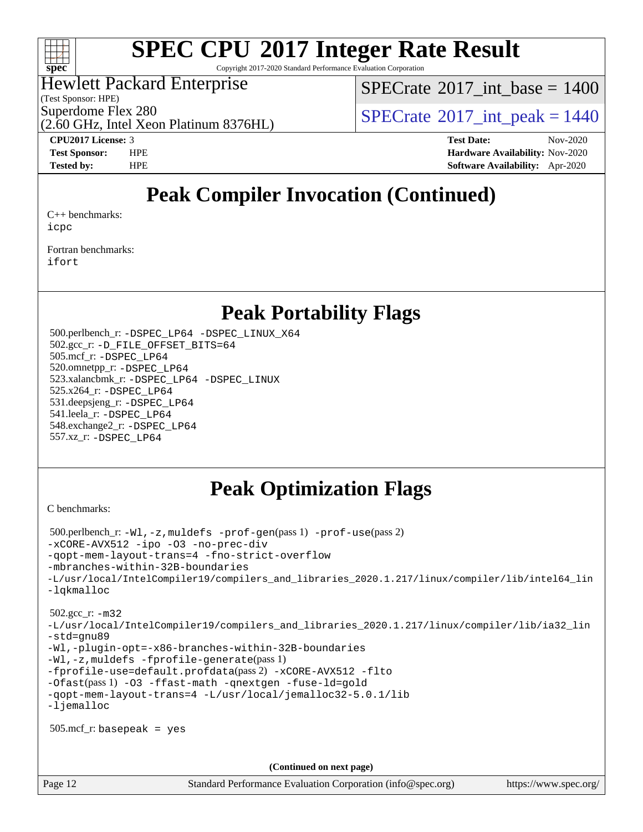

Copyright 2017-2020 Standard Performance Evaluation Corporation

#### Hewlett Packard Enterprise

(Test Sponsor: HPE)

[SPECrate](http://www.spec.org/auto/cpu2017/Docs/result-fields.html#SPECrate2017intbase)®2017 int\_base =  $1400$ 

Superdome Flex 280<br>  $S$ PECrate®2017 int peak = 1440

(2.60 GHz, Intel Xeon Platinum 8376HL)

**[CPU2017 License:](http://www.spec.org/auto/cpu2017/Docs/result-fields.html#CPU2017License)** 3 **[Test Date:](http://www.spec.org/auto/cpu2017/Docs/result-fields.html#TestDate)** Nov-2020 **[Test Sponsor:](http://www.spec.org/auto/cpu2017/Docs/result-fields.html#TestSponsor)** HPE **[Hardware Availability:](http://www.spec.org/auto/cpu2017/Docs/result-fields.html#HardwareAvailability)** Nov-2020 **[Tested by:](http://www.spec.org/auto/cpu2017/Docs/result-fields.html#Testedby)** HPE **[Software Availability:](http://www.spec.org/auto/cpu2017/Docs/result-fields.html#SoftwareAvailability)** Apr-2020

## **[Peak Compiler Invocation \(Continued\)](http://www.spec.org/auto/cpu2017/Docs/result-fields.html#PeakCompilerInvocation)**

[C++ benchmarks:](http://www.spec.org/auto/cpu2017/Docs/result-fields.html#CXXbenchmarks) [icpc](http://www.spec.org/cpu2017/results/res2020q4/cpu2017-20201123-24427.flags.html#user_CXXpeak_intel_icpc_c510b6838c7f56d33e37e94d029a35b4a7bccf4766a728ee175e80a419847e808290a9b78be685c44ab727ea267ec2f070ec5dc83b407c0218cded6866a35d07)

[Fortran benchmarks](http://www.spec.org/auto/cpu2017/Docs/result-fields.html#Fortranbenchmarks): [ifort](http://www.spec.org/cpu2017/results/res2020q4/cpu2017-20201123-24427.flags.html#user_FCpeak_intel_ifort_8111460550e3ca792625aed983ce982f94888b8b503583aa7ba2b8303487b4d8a21a13e7191a45c5fd58ff318f48f9492884d4413fa793fd88dd292cad7027ca)

### **[Peak Portability Flags](http://www.spec.org/auto/cpu2017/Docs/result-fields.html#PeakPortabilityFlags)**

 500.perlbench\_r: [-DSPEC\\_LP64](http://www.spec.org/cpu2017/results/res2020q4/cpu2017-20201123-24427.flags.html#b500.perlbench_r_peakPORTABILITY_DSPEC_LP64) [-DSPEC\\_LINUX\\_X64](http://www.spec.org/cpu2017/results/res2020q4/cpu2017-20201123-24427.flags.html#b500.perlbench_r_peakCPORTABILITY_DSPEC_LINUX_X64) 502.gcc\_r: [-D\\_FILE\\_OFFSET\\_BITS=64](http://www.spec.org/cpu2017/results/res2020q4/cpu2017-20201123-24427.flags.html#user_peakPORTABILITY502_gcc_r_file_offset_bits_64_5ae949a99b284ddf4e95728d47cb0843d81b2eb0e18bdfe74bbf0f61d0b064f4bda2f10ea5eb90e1dcab0e84dbc592acfc5018bc955c18609f94ddb8d550002c) 505.mcf\_r: [-DSPEC\\_LP64](http://www.spec.org/cpu2017/results/res2020q4/cpu2017-20201123-24427.flags.html#suite_peakPORTABILITY505_mcf_r_DSPEC_LP64) 520.omnetpp\_r: [-DSPEC\\_LP64](http://www.spec.org/cpu2017/results/res2020q4/cpu2017-20201123-24427.flags.html#suite_peakPORTABILITY520_omnetpp_r_DSPEC_LP64) 523.xalancbmk\_r: [-DSPEC\\_LP64](http://www.spec.org/cpu2017/results/res2020q4/cpu2017-20201123-24427.flags.html#suite_peakPORTABILITY523_xalancbmk_r_DSPEC_LP64) [-DSPEC\\_LINUX](http://www.spec.org/cpu2017/results/res2020q4/cpu2017-20201123-24427.flags.html#b523.xalancbmk_r_peakCXXPORTABILITY_DSPEC_LINUX) 525.x264\_r: [-DSPEC\\_LP64](http://www.spec.org/cpu2017/results/res2020q4/cpu2017-20201123-24427.flags.html#suite_peakPORTABILITY525_x264_r_DSPEC_LP64) 531.deepsjeng\_r: [-DSPEC\\_LP64](http://www.spec.org/cpu2017/results/res2020q4/cpu2017-20201123-24427.flags.html#suite_peakPORTABILITY531_deepsjeng_r_DSPEC_LP64) 541.leela\_r: [-DSPEC\\_LP64](http://www.spec.org/cpu2017/results/res2020q4/cpu2017-20201123-24427.flags.html#suite_peakPORTABILITY541_leela_r_DSPEC_LP64) 548.exchange2\_r: [-DSPEC\\_LP64](http://www.spec.org/cpu2017/results/res2020q4/cpu2017-20201123-24427.flags.html#suite_peakPORTABILITY548_exchange2_r_DSPEC_LP64) 557.xz\_r: [-DSPEC\\_LP64](http://www.spec.org/cpu2017/results/res2020q4/cpu2017-20201123-24427.flags.html#suite_peakPORTABILITY557_xz_r_DSPEC_LP64)

### **[Peak Optimization Flags](http://www.spec.org/auto/cpu2017/Docs/result-fields.html#PeakOptimizationFlags)**

[C benchmarks](http://www.spec.org/auto/cpu2017/Docs/result-fields.html#Cbenchmarks):

```
 500.perlbench_r: -Wl,-z,muldefs -prof-gen(pass 1) -prof-use(pass 2)
-xCORE-AVX512 -ipo -O3 -no-prec-div
-qopt-mem-layout-trans=4 -fno-strict-overflow
-mbranches-within-32B-boundaries
-L/usr/local/IntelCompiler19/compilers_and_libraries_2020.1.217/linux/compiler/lib/intel64_lin
-lqkmalloc
 502.gcc_r: -m32
-L/usr/local/IntelCompiler19/compilers_and_libraries_2020.1.217/linux/compiler/lib/ia32_lin
-std=gnu89
-Wl,-plugin-opt=-x86-branches-within-32B-boundaries
-Wl,-z,muldefs -fprofile-generate(pass 1)
-fprofile-use=default.profdata(pass 2) -xCORE-AVX512 -flto
-Ofast(pass 1) -O3 -ffast-math -qnextgen -fuse-ld=gold
-qopt-mem-layout-trans=4 -L/usr/local/jemalloc32-5.0.1/lib
-ljemalloc
 505.mcf_r: basepeak = yes
                                      (Continued on next page)
```